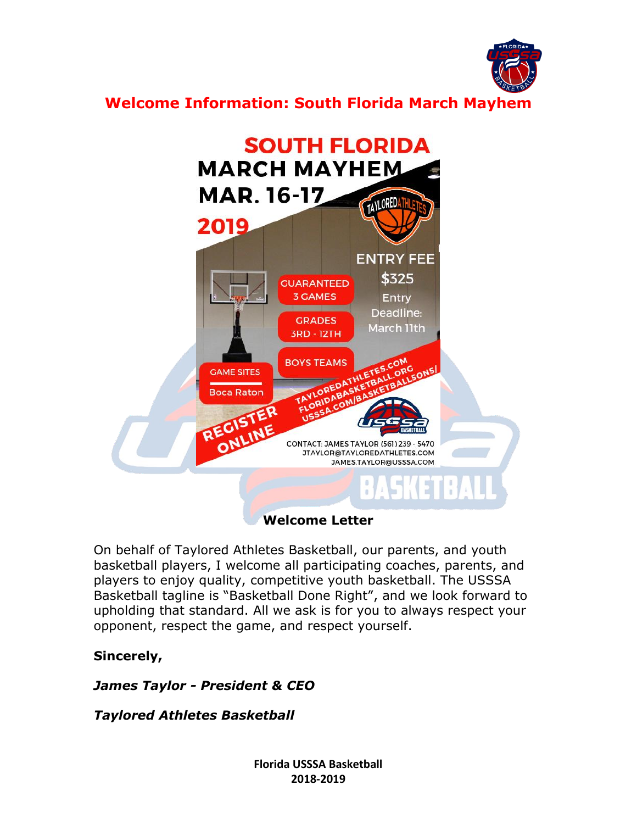

**Welcome Information: South Florida March Mayhem**



**Welcome Letter**

On behalf of Taylored Athletes Basketball, our parents, and youth basketball players, I welcome all participating coaches, parents, and players to enjoy quality, competitive youth basketball. The USSSA Basketball tagline is "Basketball Done Right", and we look forward to upholding that standard. All we ask is for you to always respect your opponent, respect the game, and respect yourself.

# **Sincerely,**

# *James Taylor - President & CEO*

# *Taylored Athletes Basketball*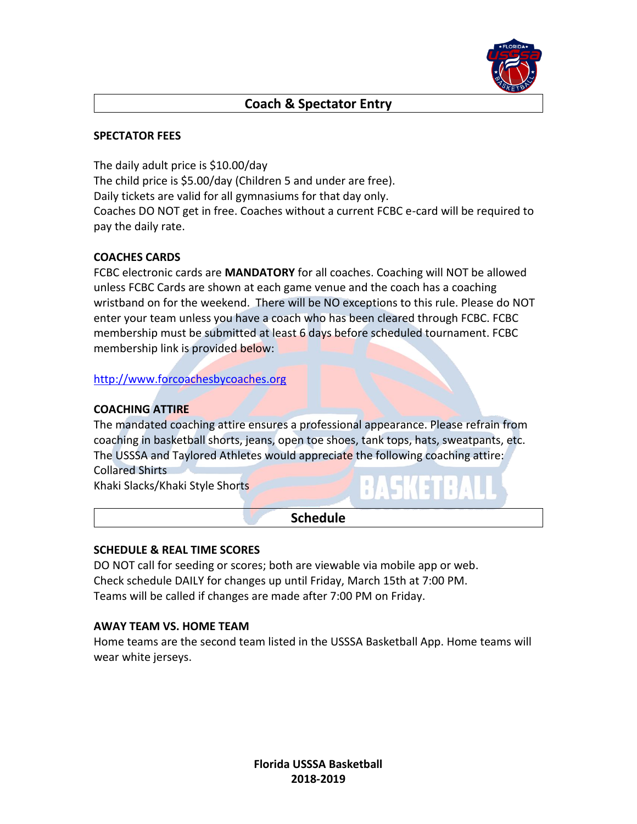

### **Coach & Spectator Entry**

#### **SPECTATOR FEES**

The daily adult price is \$10.00/day The child price is \$5.00/day (Children 5 and under are free). Daily tickets are valid for all gymnasiums for that day only. Coaches DO NOT get in free. Coaches without a current FCBC e-card will be required to pay the daily rate.

#### **COACHES CARDS**

FCBC electronic cards are **MANDATORY** for all coaches. Coaching will NOT be allowed unless FCBC Cards are shown at each game venue and the coach has a coaching wristband on for the weekend. There will be NO exceptions to this rule. Please do NOT enter your team unless you have a coach who has been cleared through FCBC. FCBC membership must be submitted at least 6 days before scheduled tournament. FCBC membership link is provided below:

[http://www.forcoachesbycoaches.org](http://www.forcoachesbycoaches.org/)

#### **COACHING ATTIRE**

The mandated coaching attire ensures a professional appearance. Please refrain from coaching in basketball shorts, jeans, open toe shoes, tank tops, hats, sweatpants, etc. The USSSA and Taylored Athletes would appreciate the following coaching attire: Collared Shirts

Khaki Slacks/Khaki Style Shorts

#### **Schedule**

#### **SCHEDULE & REAL TIME SCORES**

DO NOT call for seeding or scores; both are viewable via mobile app or web. Check schedule DAILY for changes up until Friday, March 15th at 7:00 PM. Teams will be called if changes are made after 7:00 PM on Friday.

#### **AWAY TEAM VS. HOME TEAM**

Home teams are the second team listed in the USSSA Basketball App. Home teams will wear white jerseys.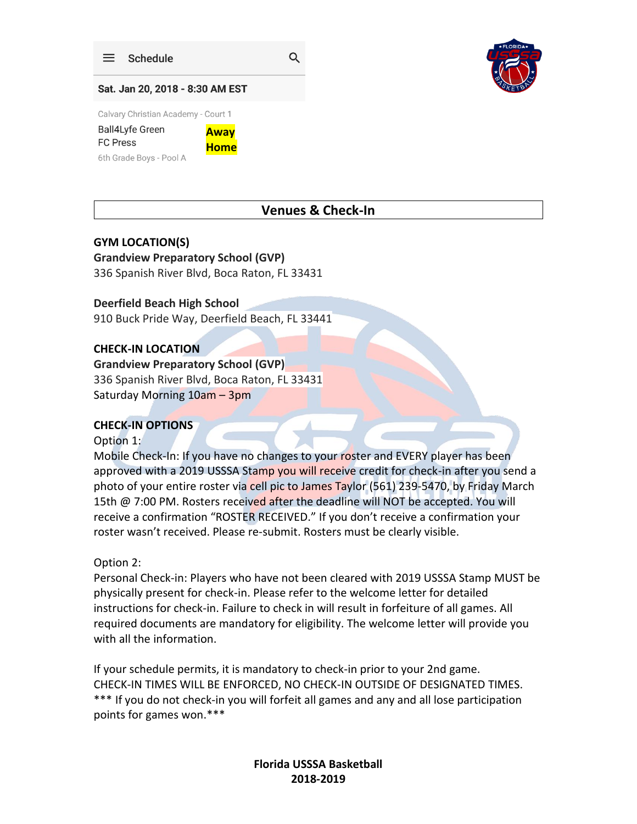

Q



#### Sat. Jan 20, 2018 - 8:30 AM EST

Calvary Christian Academy - Court 1

**Ball4Lyfe Green Away FC Press Home** 6th Grade Boys - Pool A

### **Venues & Check-In**

#### **GYM LOCATION(S)**

**Grandview Preparatory School (GVP)** 336 Spanish River Blvd, Boca Raton, FL 33431

#### **Deerfield Beach High School**

910 Buck Pride Way, Deerfield Beach, FL 33441

#### **CHECK-IN LOCATION**

### **Grandview Preparatory School (GVP)**

336 Spanish River Blvd, Boca Raton, FL 33431 Saturday Morning 10am – 3pm

### **CHECK-IN OPTIONS**

#### Option 1:

Mobile Check-In: If you have no changes to your roster and EVERY player has been approved with a 2019 USSSA Stamp you will receive credit for check-in after you send a photo of your entire roster via cell pic to James Taylor (561) 239-5470, by Friday March 15th @ 7:00 PM. Rosters received after the deadline will NOT be accepted. You will receive a confirmation "ROSTER RECEIVED." If you don't receive a confirmation your roster wasn't received. Please re-submit. Rosters must be clearly visible.

#### Option 2:

Personal Check-in: Players who have not been cleared with 2019 USSSA Stamp MUST be physically present for check-in. Please refer to the welcome letter for detailed instructions for check-in. Failure to check in will result in forfeiture of all games. All required documents are mandatory for eligibility. The welcome letter will provide you with all the information.

If your schedule permits, it is mandatory to check-in prior to your 2nd game. CHECK-IN TIMES WILL BE ENFORCED, NO CHECK-IN OUTSIDE OF DESIGNATED TIMES. \*\*\* If you do not check-in you will forfeit all games and any and all lose participation points for games won.\*\*\*

> **Florida USSSA Basketball 2018-2019**